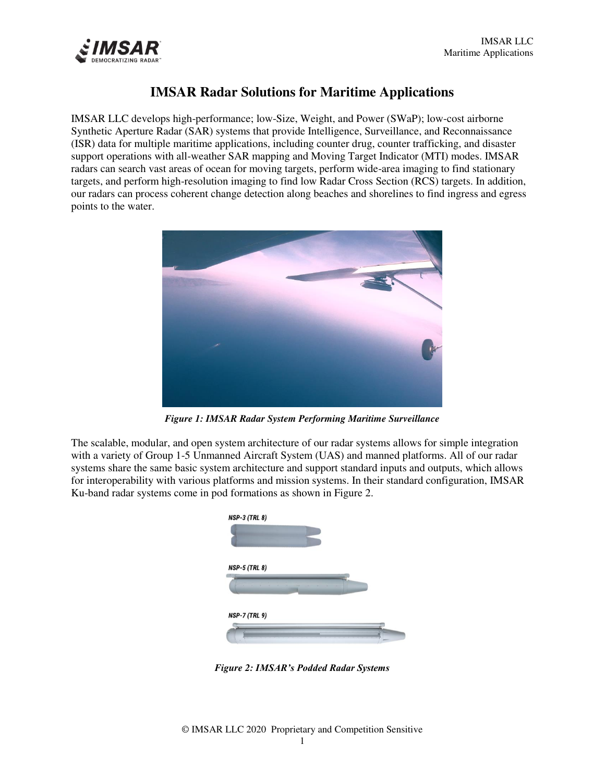

# **IMSAR Radar Solutions for Maritime Applications**

IMSAR LLC develops high-performance; low-Size, Weight, and Power (SWaP); low-cost airborne Synthetic Aperture Radar (SAR) systems that provide Intelligence, Surveillance, and Reconnaissance (ISR) data for multiple maritime applications, including counter drug, counter trafficking, and disaster support operations with all-weather SAR mapping and Moving Target Indicator (MTI) modes. IMSAR radars can search vast areas of ocean for moving targets, perform wide-area imaging to find stationary targets, and perform high-resolution imaging to find low Radar Cross Section (RCS) targets. In addition, our radars can process coherent change detection along beaches and shorelines to find ingress and egress points to the water.



*Figure 1: IMSAR Radar System Performing Maritime Surveillance*

The scalable, modular, and open system architecture of our radar systems allows for simple integration with a variety of Group 1-5 Unmanned Aircraft System (UAS) and manned platforms. All of our radar systems share the same basic system architecture and support standard inputs and outputs, which allows for interoperability with various platforms and mission systems. In their standard configuration, IMSAR Ku-band radar systems come in pod formations as shown in Figure 2.



*Figure 2: IMSAR's Podded Radar Systems*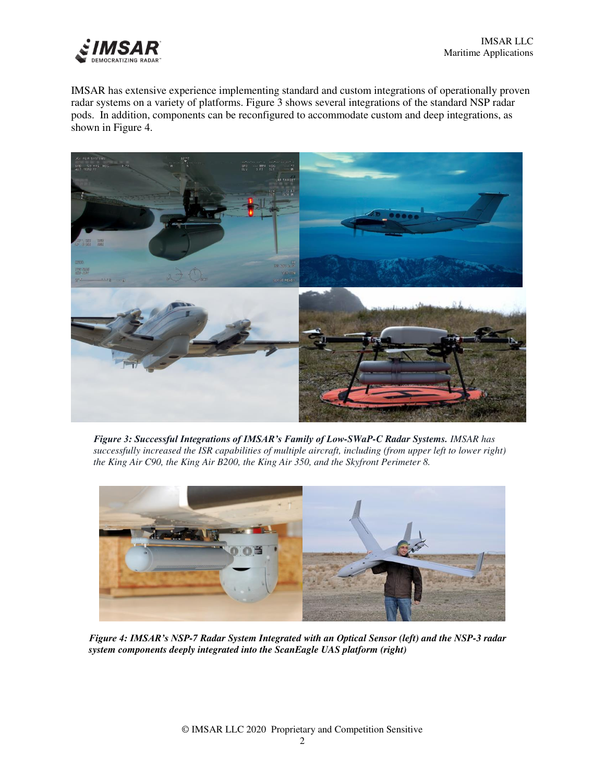

IMSAR has extensive experience implementing standard and custom integrations of operationally proven radar systems on a variety of platforms. Figure 3 shows several integrations of the standard NSP radar pods. In addition, components can be reconfigured to accommodate custom and deep integrations, as shown in Figure 4.



*Figure 3: Successful Integrations of IMSAR's Family of Low-SWaP-C Radar Systems. IMSAR has successfully increased the ISR capabilities of multiple aircraft, including (from upper left to lower right) the King Air C90, the King Air B200, the King Air 350, and the Skyfront Perimeter 8.* 



*Figure 4: IMSAR's NSP-7 Radar System Integrated with an Optical Sensor (left) and the NSP-3 radar system components deeply integrated into the ScanEagle UAS platform (right)*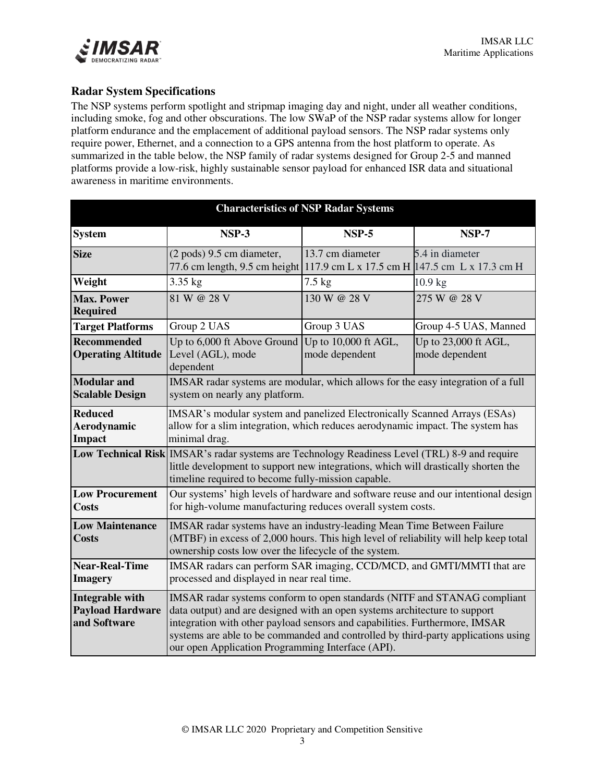

## **Radar System Specifications**

The NSP systems perform spotlight and stripmap imaging day and night, under all weather conditions, including smoke, fog and other obscurations. The low SWaP of the NSP radar systems allow for longer platform endurance and the emplacement of additional payload sensors. The NSP radar systems only require power, Ethernet, and a connection to a GPS antenna from the host platform to operate. As summarized in the table below, the NSP family of radar systems designed for Group 2-5 and manned platforms provide a low-risk, highly sustainable sensor payload for enhanced ISR data and situational awareness in maritime environments.

| <b>Characteristics of NSP Radar Systems</b>                       |                                                                                                                                                                                                                                                                                                                                                                                 |                                        |                                        |  |  |
|-------------------------------------------------------------------|---------------------------------------------------------------------------------------------------------------------------------------------------------------------------------------------------------------------------------------------------------------------------------------------------------------------------------------------------------------------------------|----------------------------------------|----------------------------------------|--|--|
| <b>System</b>                                                     | <b>NSP-3</b>                                                                                                                                                                                                                                                                                                                                                                    | <b>NSP-5</b>                           | <b>NSP-7</b>                           |  |  |
| <b>Size</b>                                                       | (2 pods) 9.5 cm diameter,<br>77.6 cm length, 9.5 cm height 117.9 cm L x 17.5 cm H 147.5 cm L x 17.3 cm H                                                                                                                                                                                                                                                                        | 13.7 cm diameter                       | 5.4 in diameter                        |  |  |
| Weight                                                            | 3.35 kg                                                                                                                                                                                                                                                                                                                                                                         | $7.5 \text{ kg}$                       | $10.9$ kg                              |  |  |
| <b>Max. Power</b><br><b>Required</b>                              | 81 W @ 28 V                                                                                                                                                                                                                                                                                                                                                                     | 130 W @ 28 V                           | 275 W @ 28 V                           |  |  |
| <b>Target Platforms</b>                                           | Group 2 UAS                                                                                                                                                                                                                                                                                                                                                                     | Group 3 UAS                            | Group 4-5 UAS, Manned                  |  |  |
| <b>Recommended</b><br><b>Operating Altitude</b>                   | Up to 6,000 ft Above Ground<br>Level (AGL), mode<br>dependent                                                                                                                                                                                                                                                                                                                   | Up to 10,000 ft AGL,<br>mode dependent | Up to 23,000 ft AGL,<br>mode dependent |  |  |
| <b>Modular</b> and<br><b>Scalable Design</b>                      | IMSAR radar systems are modular, which allows for the easy integration of a full<br>system on nearly any platform.                                                                                                                                                                                                                                                              |                                        |                                        |  |  |
| <b>Reduced</b><br>Aerodynamic<br><b>Impact</b>                    | IMSAR's modular system and panelized Electronically Scanned Arrays (ESAs)<br>allow for a slim integration, which reduces aerodynamic impact. The system has<br>minimal drag.                                                                                                                                                                                                    |                                        |                                        |  |  |
|                                                                   | Low Technical Risk MSAR's radar systems are Technology Readiness Level (TRL) 8-9 and require<br>little development to support new integrations, which will drastically shorten the<br>timeline required to become fully-mission capable.                                                                                                                                        |                                        |                                        |  |  |
| <b>Low Procurement</b><br><b>Costs</b>                            | Our systems' high levels of hardware and software reuse and our intentional design<br>for high-volume manufacturing reduces overall system costs.                                                                                                                                                                                                                               |                                        |                                        |  |  |
| <b>Low Maintenance</b><br><b>Costs</b>                            | IMSAR radar systems have an industry-leading Mean Time Between Failure<br>(MTBF) in excess of 2,000 hours. This high level of reliability will help keep total<br>ownership costs low over the lifecycle of the system.                                                                                                                                                         |                                        |                                        |  |  |
| <b>Near-Real-Time</b><br><b>Imagery</b>                           | IMSAR radars can perform SAR imaging, CCD/MCD, and GMTI/MMTI that are<br>processed and displayed in near real time.                                                                                                                                                                                                                                                             |                                        |                                        |  |  |
| <b>Integrable with</b><br><b>Payload Hardware</b><br>and Software | IMSAR radar systems conform to open standards (NITF and STANAG compliant<br>data output) and are designed with an open systems architecture to support<br>integration with other payload sensors and capabilities. Furthermore, IMSAR<br>systems are able to be commanded and controlled by third-party applications using<br>our open Application Programming Interface (API). |                                        |                                        |  |  |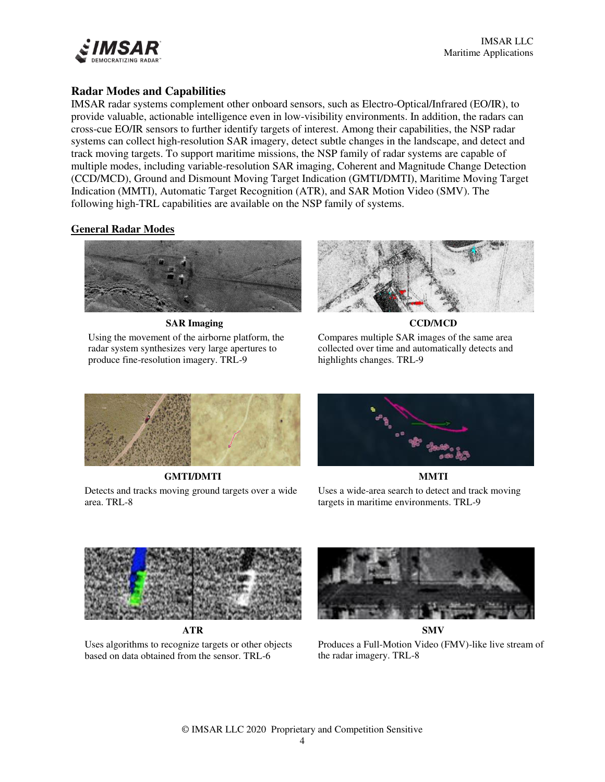

## **Radar Modes and Capabilities**

IMSAR radar systems complement other onboard sensors, such as Electro-Optical/Infrared (EO/IR), to provide valuable, actionable intelligence even in low-visibility environments. In addition, the radars can cross-cue EO/IR sensors to further identify targets of interest. Among their capabilities, the NSP radar systems can collect high-resolution SAR imagery, detect subtle changes in the landscape, and detect and track moving targets. To support maritime missions, the NSP family of radar systems are capable of multiple modes, including variable-resolution SAR imaging, Coherent and Magnitude Change Detection (CCD/MCD), Ground and Dismount Moving Target Indication (GMTI/DMTI), Maritime Moving Target Indication (MMTI), Automatic Target Recognition (ATR), and SAR Motion Video (SMV). The following high-TRL capabilities are available on the NSP family of systems.

#### **General Radar Modes**



**SAR Imaging** 

Using the movement of the airborne platform, the radar system synthesizes very large apertures to produce fine-resolution imagery. TRL-9



**CCD/MCD** 





**GMTI/DMTI** 

Detects and tracks moving ground targets over a wide area. TRL-8



**MMTI** 

Uses a wide-area search to detect and track moving targets in maritime environments. TRL-9



**ATR** 

Uses algorithms to recognize targets or other objects based on data obtained from the sensor. TRL-6



**SMV** 

Produces a Full-Motion Video (FMV)-like live stream of the radar imagery. TRL-8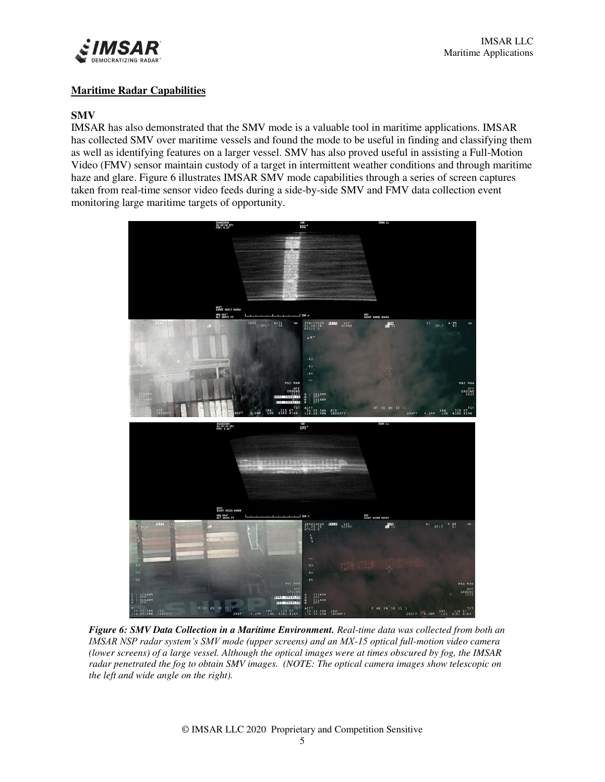

#### **Maritime Radar Capabilities**

#### **SMV**

IMSAR has also demonstrated that the SMV mode is a valuable tool in maritime applications. IMSAR has collected SMV over maritime vessels and found the mode to be useful in finding and classifying them as well as identifying features on a larger vessel. SMV has also proved useful in assisting a Full-Motion Video (FMV) sensor maintain custody of a target in intermittent weather conditions and through maritime haze and glare. Figure 6 illustrates IMSAR SMV mode capabilities through a series of screen captures taken from real-time sensor video feeds during a side-by-side SMV and FMV data collection event monitoring large maritime targets of opportunity.



*Figure 6: SMV Data Collection in a Maritime Environment. Real-time data was collected from both an IMSAR NSP radar system's SMV mode (upper screens) and an MX-15 optical full-motion video camera (lower screens) of a large vessel. Although the optical images were at times obscured by fog, the IMSAR radar penetrated the fog to obtain SMV images. (NOTE: The optical camera images show telescopic on the left and wide angle on the right).*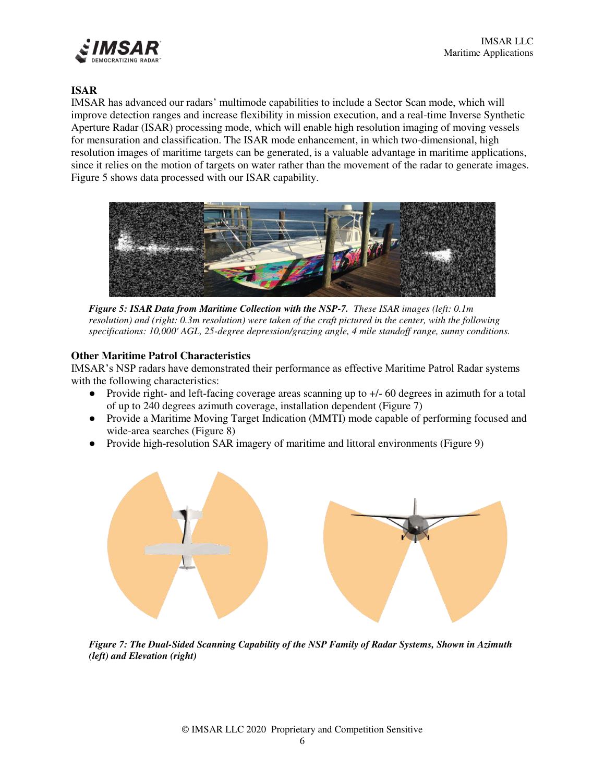

### **ISAR**

IMSAR has advanced our radars' multimode capabilities to include a Sector Scan mode, which will improve detection ranges and increase flexibility in mission execution, and a real-time Inverse Synthetic Aperture Radar (ISAR) processing mode, which will enable high resolution imaging of moving vessels for mensuration and classification. The ISAR mode enhancement, in which two-dimensional, high resolution images of maritime targets can be generated, is a valuable advantage in maritime applications, since it relies on the motion of targets on water rather than the movement of the radar to generate images. Figure 5 shows data processed with our ISAR capability.



*Figure 5: ISAR Data from Maritime Collection with the NSP-7. These ISAR images (left: 0.1m resolution) and (right: 0.3m resolution) were taken of the craft pictured in the center, with the following specifications: 10,000' AGL, 25-degree depression/grazing angle, 4 mile standoff range, sunny conditions.* 

#### **Other Maritime Patrol Characteristics**

IMSAR's NSP radars have demonstrated their performance as effective Maritime Patrol Radar systems with the following characteristics:

- Provide right- and left-facing coverage areas scanning up to +/- 60 degrees in azimuth for a total of up to 240 degrees azimuth coverage, installation dependent (Figure 7)
- Provide a Maritime Moving Target Indication (MMTI) mode capable of performing focused and wide-area searches (Figure 8)
- Provide high-resolution SAR imagery of maritime and littoral environments (Figure 9)



*Figure 7: The Dual-Sided Scanning Capability of the NSP Family of Radar Systems, Shown in Azimuth (left) and Elevation (right)*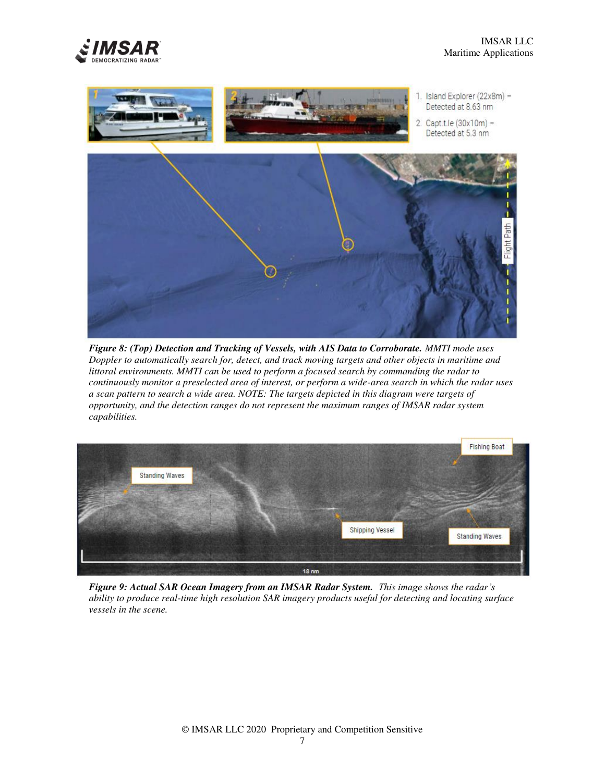



*Figure 8: (Top) Detection and Tracking of Vessels, with AIS Data to Corroborate. MMTI mode uses Doppler to automatically search for, detect, and track moving targets and other objects in maritime and littoral environments. MMTI can be used to perform a focused search by commanding the radar to continuously monitor a preselected area of interest, or perform a wide-area search in which the radar uses a scan pattern to search a wide area. NOTE: The targets depicted in this diagram were targets of opportunity, and the detection ranges do not represent the maximum ranges of IMSAR radar system capabilities.*



*Figure 9: Actual SAR Ocean Imagery from an IMSAR Radar System. This image shows the radar's ability to produce real-time high resolution SAR imagery products useful for detecting and locating surface vessels in the scene.*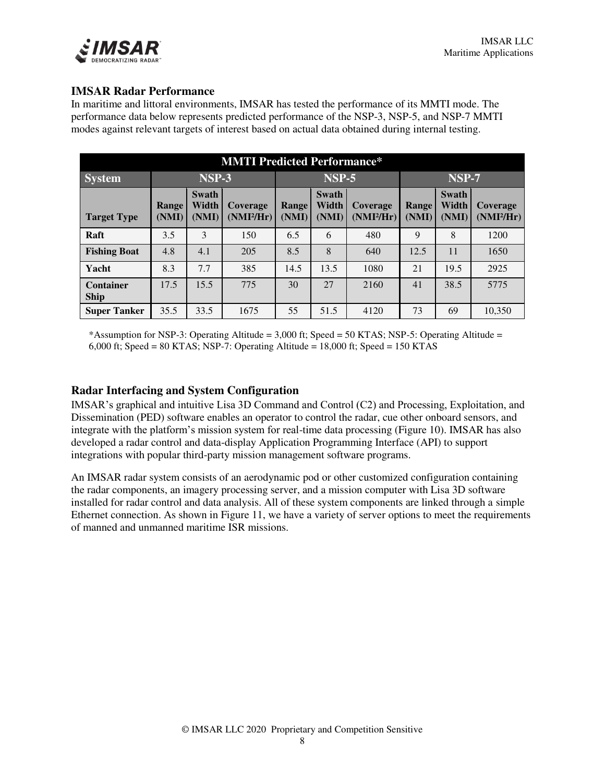

## **IMSAR Radar Performance**

In maritime and littoral environments, IMSAR has tested the performance of its MMTI mode. The performance data below represents predicted performance of the NSP-3, NSP-5, and NSP-7 MMTI modes against relevant targets of interest based on actual data obtained during internal testing.

| <b>MMTI Predicted Performance*</b> |                |                         |                          |                |                         |                          |                |                         |                                 |
|------------------------------------|----------------|-------------------------|--------------------------|----------------|-------------------------|--------------------------|----------------|-------------------------|---------------------------------|
| <b>System</b>                      | <b>NSP-3</b>   |                         | <b>NSP-5</b>             |                | NSP-7                   |                          |                |                         |                                 |
| <b>Target Type</b>                 | Range<br>(NMI) | Swath<br>Width<br>(NMI) | Coverage<br>$(NMI^2/Hr)$ | Range<br>(NMI) | Swath<br>Width<br>(NMI) | Coverage<br>$(NMI^2/Hr)$ | Range<br>(NMI) | Swath<br>Width<br>(NMI) | <b>Coverage</b><br>$(NMI^2/Hr)$ |
| Raft                               | 3.5            | 3                       | 150                      | 6.5            | 6                       | 480                      | 9              | 8                       | 1200                            |
| <b>Fishing Boat</b>                | 4.8            | 4.1                     | 205                      | 8.5            | 8                       | 640                      | 12.5           | 11                      | 1650                            |
| Yacht                              | 8.3            | 7.7                     | 385                      | 14.5           | 13.5                    | 1080                     | 21             | 19.5                    | 2925                            |
| <b>Container</b><br><b>Ship</b>    | 17.5           | 15.5                    | 775                      | 30             | 27                      | 2160                     | 41             | 38.5                    | 5775                            |
| <b>Super Tanker</b>                | 35.5           | 33.5                    | 1675                     | 55             | 51.5                    | 4120                     | 73             | 69                      | 10,350                          |

\*Assumption for NSP-3: Operating Altitude = 3,000 ft; Speed = 50 KTAS; NSP-5: Operating Altitude = 6,000 ft; Speed = 80 KTAS; NSP-7: Operating Altitude = 18,000 ft; Speed = 150 KTAS

### **Radar Interfacing and System Configuration**

IMSAR's graphical and intuitive Lisa 3D Command and Control (C2) and Processing, Exploitation, and Dissemination (PED) software enables an operator to control the radar, cue other onboard sensors, and integrate with the platform's mission system for real-time data processing (Figure 10). IMSAR has also developed a radar control and data-display Application Programming Interface (API) to support integrations with popular third-party mission management software programs.

An IMSAR radar system consists of an aerodynamic pod or other customized configuration containing the radar components, an imagery processing server, and a mission computer with Lisa 3D software installed for radar control and data analysis. All of these system components are linked through a simple Ethernet connection. As shown in Figure 11, we have a variety of server options to meet the requirements of manned and unmanned maritime ISR missions.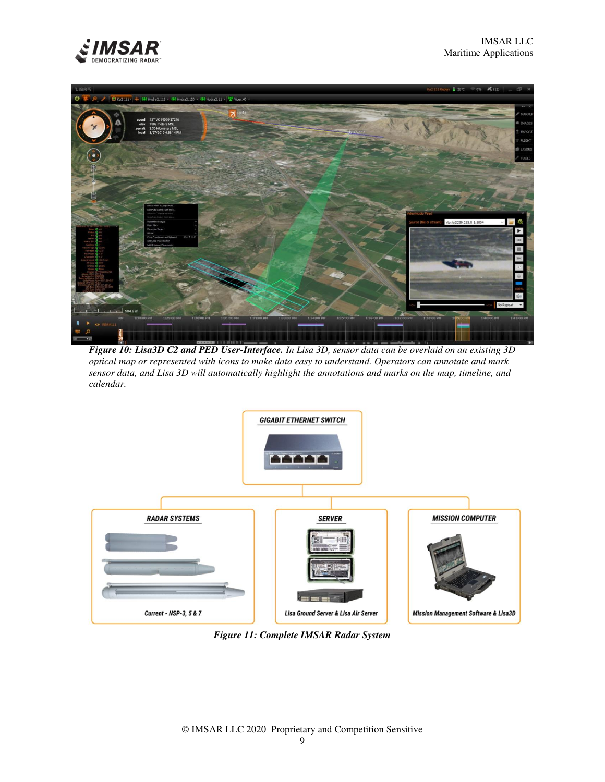



*Figure 10: Lisa3D C2 and PED User-Interface. In Lisa 3D, sensor data can be overlaid on an existing 3D optical map or represented with icons to make data easy to understand. Operators can annotate and mark sensor data, and Lisa 3D will automatically highlight the annotations and marks on the map, timeline, and calendar.* 



*Figure 11: Complete IMSAR Radar System*